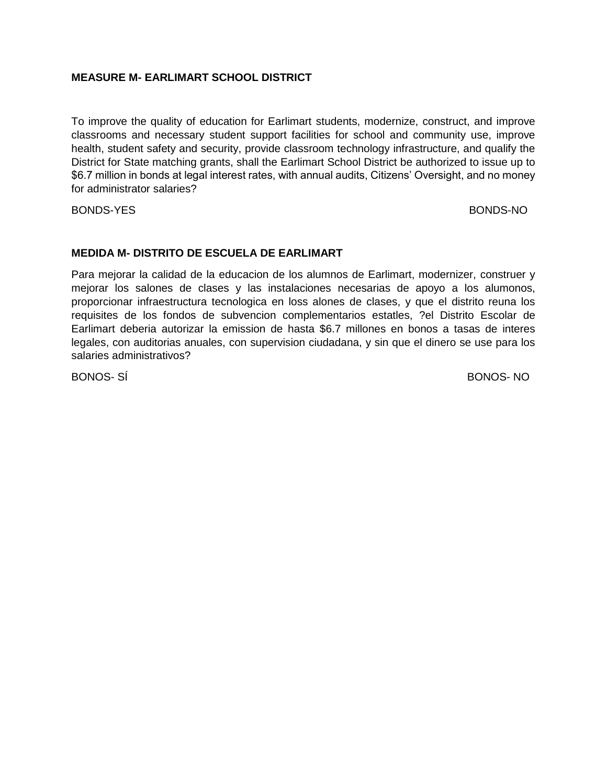## **MEASURE M- EARLIMART SCHOOL DISTRICT**

To improve the quality of education for Earlimart students, modernize, construct, and improve classrooms and necessary student support facilities for school and community use, improve health, student safety and security, provide classroom technology infrastructure, and qualify the District for State matching grants, shall the Earlimart School District be authorized to issue up to \$6.7 million in bonds at legal interest rates, with annual audits, Citizens' Oversight, and no money for administrator salaries?

BONDS-YES BONDS-NO

## **MEDIDA M- DISTRITO DE ESCUELA DE EARLIMART**

Para mejorar la calidad de la educacion de los alumnos de Earlimart, modernizer, construer y mejorar los salones de clases y las instalaciones necesarias de apoyo a los alumonos, proporcionar infraestructura tecnologica en loss alones de clases, y que el distrito reuna los requisites de los fondos de subvencion complementarios estatles, ?el Distrito Escolar de Earlimart deberia autorizar la emission de hasta \$6.7 millones en bonos a tasas de interes legales, con auditorias anuales, con supervision ciudadana, y sin que el dinero se use para los salaries administrativos?

BONOS- SÍ BONOS- NO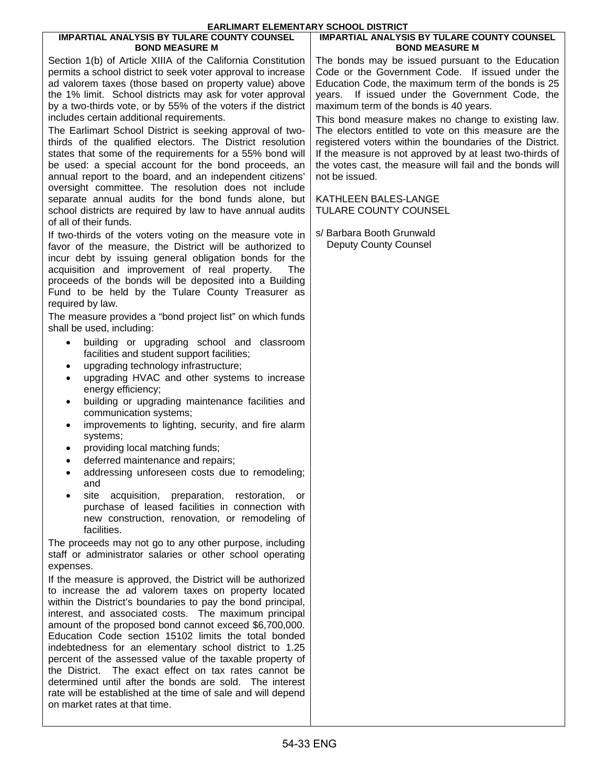#### **IMPARTIAL ANALYSIS BY TULARE COUNTY COUNSEL BOND MEASURE M**

Section 1(b) of Article XIIIA of the California Constitution permits a school district to seek voter approval to increase ad valorem taxes (those based on property value) above the 1% limit. School districts may ask for voter approval by a two-thirds vote, or by 55% of the voters if the district includes certain additional requirements.

The Earlimart School District is seeking approval of twothirds of the qualified electors. The District resolution states that some of the requirements for a 55% bond will be used: a special account for the bond proceeds, an annual report to the board, and an independent citizens' oversight committee. The resolution does not include separate annual audits for the bond funds alone, but school districts are required by law to have annual audits of all of their funds.

If two-thirds of the voters voting on the measure vote in favor of the measure, the District will be authorized to incur debt by issuing general obligation bonds for the acquisition and improvement of real property. The proceeds of the bonds will be deposited into a Building Fund to be held by the Tulare County Treasurer as required by law.

The measure provides a "bond project list" on which funds shall be used, including:

- building or upgrading school and classroom facilities and student support facilities;
- upgrading technology infrastructure;
- upgrading HVAC and other systems to increase energy efficiency;
- building or upgrading maintenance facilities and communication systems;
- improvements to lighting, security, and fire alarm systems;
- providing local matching funds;
- deferred maintenance and repairs;
- addressing unforeseen costs due to remodeling; and
- site acquisition, preparation, restoration, or purchase of leased facilities in connection with new construction, renovation, or remodeling of facilities.

The proceeds may not go to any other purpose, including staff or administrator salaries or other school operating expenses.

If the measure is approved, the District will be authorized to increase the ad valorem taxes on property located within the District's boundaries to pay the bond principal, interest, and associated costs. The maximum principal amount of the proposed bond cannot exceed \$6,700,000. Education Code section 15102 limits the total bonded indebtedness for an elementary school district to 1.25 percent of the assessed value of the taxable property of the District. The exact effect on tax rates cannot be determined until after the bonds are sold. The interest rate will be established at the time of sale and will depend on market rates at that time.

#### **IMPARTIAL ANALYSIS BY TULARE COUNTY COUNSEL BOND MEASURE M**

The bonds may be issued pursuant to the Education Code or the Government Code. If issued under the Education Code, the maximum term of the bonds is 25 years. If issued under the Government Code, the maximum term of the bonds is 40 years.

This bond measure makes no change to existing law. The electors entitled to vote on this measure are the registered voters within the boundaries of the District. If the measure is not approved by at least two-thirds of the votes cast, the measure will fail and the bonds will not be issued.

KATHLEEN BALES-LANGE TULARE COUNTY COUNSEL

s/ Barbara Booth Grunwald Deputy County Counsel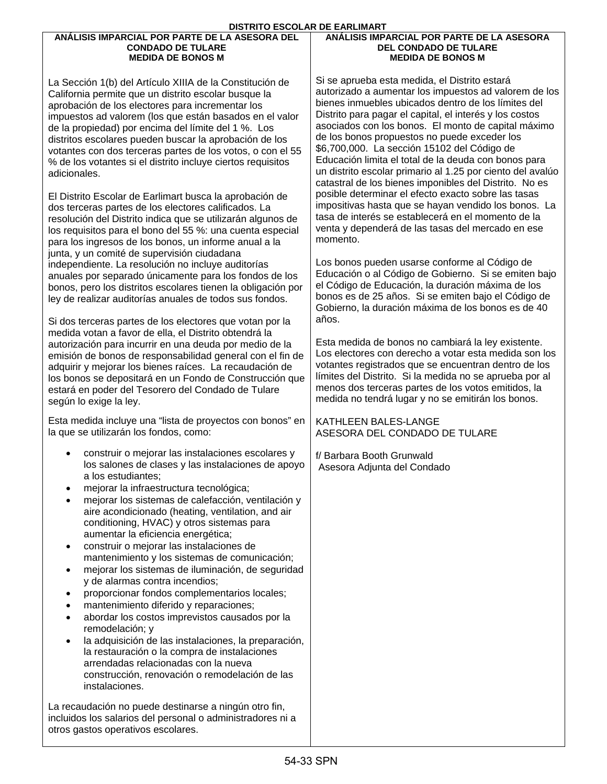#### **ANÁLISIS IMPARCIAL POR PARTE DE LA ASESORA DEL CONDADO DE TULARE MEDIDA DE BONOS M**

La Sección 1(b) del Artículo XIIIA de la Constitución de California permite que un distrito escolar busque la aprobación de los electores para incrementar los impuestos ad valorem (los que están basados en el valor de la propiedad) por encima del límite del 1 %. Los distritos escolares pueden buscar la aprobación de los votantes con dos terceras partes de los votos, o con el 55 % de los votantes si el distrito incluye ciertos requisitos adicionales.

El Distrito Escolar de Earlimart busca la aprobación de dos terceras partes de los electores calificados. La resolución del Distrito indica que se utilizarán algunos de los requisitos para el bono del 55 %: una cuenta especial para los ingresos de los bonos, un informe anual a la junta, y un comité de supervisión ciudadana independiente. La resolución no incluye auditorías anuales por separado únicamente para los fondos de los bonos, pero los distritos escolares tienen la obligación por ley de realizar auditorías anuales de todos sus fondos.

Si dos terceras partes de los electores que votan por la medida votan a favor de ella, el Distrito obtendrá la autorización para incurrir en una deuda por medio de la emisión de bonos de responsabilidad general con el fin de adquirir y mejorar los bienes raíces. La recaudación de los bonos se depositará en un Fondo de Construcción que estará en poder del Tesorero del Condado de Tulare según lo exige la ley.

Esta medida incluye una "lista de proyectos con bonos" en la que se utilizarán los fondos, como:

- construir o mejorar las instalaciones escolares y los salones de clases y las instalaciones de apoyo a los estudiantes;
- mejorar la infraestructura tecnológica;
- mejorar los sistemas de calefacción, ventilación y aire acondicionado (heating, ventilation, and air conditioning, HVAC) y otros sistemas para aumentar la eficiencia energética;
- construir o mejorar las instalaciones de mantenimiento y los sistemas de comunicación;
- mejorar los sistemas de iluminación, de seguridad y de alarmas contra incendios;
- proporcionar fondos complementarios locales;
- mantenimiento diferido y reparaciones;
- abordar los costos imprevistos causados por la remodelación; y
- la adquisición de las instalaciones, la preparación, la restauración o la compra de instalaciones arrendadas relacionadas con la nueva construcción, renovación o remodelación de las instalaciones.

La recaudación no puede destinarse a ningún otro fin, incluidos los salarios del personal o administradores ni a otros gastos operativos escolares.

#### **ANÁLISIS IMPARCIAL POR PARTE DE LA ASESORA DEL CONDADO DE TULARE MEDIDA DE BONOS M**

Si se aprueba esta medida, el Distrito estará autorizado a aumentar los impuestos ad valorem de los bienes inmuebles ubicados dentro de los límites del Distrito para pagar el capital, el interés y los costos asociados con los bonos. El monto de capital máximo de los bonos propuestos no puede exceder los \$6,700,000. La sección 15102 del Código de Educación limita el total de la deuda con bonos para un distrito escolar primario al 1.25 por ciento del avalúo catastral de los bienes imponibles del Distrito. No es posible determinar el efecto exacto sobre las tasas impositivas hasta que se hayan vendido los bonos. La tasa de interés se establecerá en el momento de la venta y dependerá de las tasas del mercado en ese momento.

Los bonos pueden usarse conforme al Código de Educación o al Código de Gobierno. Si se emiten bajo el Código de Educación, la duración máxima de los bonos es de 25 años. Si se emiten bajo el Código de Gobierno, la duración máxima de los bonos es de 40 años.

Esta medida de bonos no cambiará la ley existente. Los electores con derecho a votar esta medida son los votantes registrados que se encuentran dentro de los límites del Distrito. Si la medida no se aprueba por al menos dos terceras partes de los votos emitidos, la medida no tendrá lugar y no se emitirán los bonos.

KATHLEEN BALES-LANGE ASESORA DEL CONDADO DE TULARE

f/ Barbara Booth Grunwald Asesora Adjunta del Condado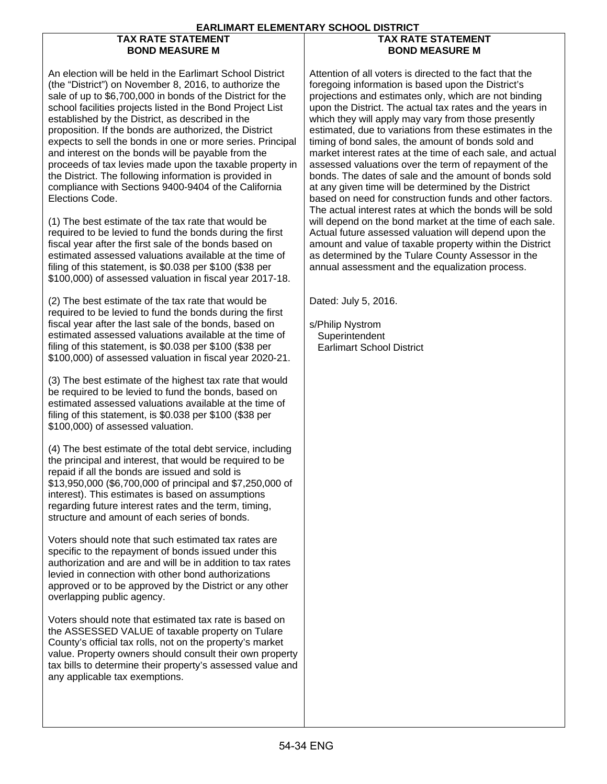## **TAX RATE STATEMENT BOND MEASURE M**

## **TAX RATE STATEMENT BOND MEASURE M**

An election will be held in the Earlimart School District (the "District") on November 8, 2016, to authorize the sale of up to \$6,700,000 in bonds of the District for the school facilities projects listed in the Bond Project List established by the District, as described in the proposition. If the bonds are authorized, the District expects to sell the bonds in one or more series. Principal and interest on the bonds will be payable from the proceeds of tax levies made upon the taxable property in the District. The following information is provided in compliance with Sections 9400-9404 of the California Elections Code.

(1) The best estimate of the tax rate that would be required to be levied to fund the bonds during the first fiscal year after the first sale of the bonds based on estimated assessed valuations available at the time of filing of this statement, is \$0.038 per \$100 (\$38 per \$100,000) of assessed valuation in fiscal year 2017-18.

(2) The best estimate of the tax rate that would be required to be levied to fund the bonds during the first fiscal year after the last sale of the bonds, based on estimated assessed valuations available at the time of filing of this statement, is \$0.038 per \$100 (\$38 per \$100,000) of assessed valuation in fiscal year 2020-21.

(3) The best estimate of the highest tax rate that would be required to be levied to fund the bonds, based on estimated assessed valuations available at the time of filing of this statement, is \$0.038 per \$100 (\$38 per \$100,000) of assessed valuation.

(4) The best estimate of the total debt service, including the principal and interest, that would be required to be repaid if all the bonds are issued and sold is \$13,950,000 (\$6,700,000 of principal and \$7,250,000 of interest). This estimates is based on assumptions regarding future interest rates and the term, timing, structure and amount of each series of bonds.

Voters should note that such estimated tax rates are specific to the repayment of bonds issued under this authorization and are and will be in addition to tax rates levied in connection with other bond authorizations approved or to be approved by the District or any other overlapping public agency.

Voters should note that estimated tax rate is based on the ASSESSED VALUE of taxable property on Tulare County's official tax rolls, not on the property's market value. Property owners should consult their own property tax bills to determine their property's assessed value and any applicable tax exemptions.

Attention of all voters is directed to the fact that the foregoing information is based upon the District's projections and estimates only, which are not binding upon the District. The actual tax rates and the years in which they will apply may vary from those presently estimated, due to variations from these estimates in the timing of bond sales, the amount of bonds sold and market interest rates at the time of each sale, and actual assessed valuations over the term of repayment of the bonds. The dates of sale and the amount of bonds sold at any given time will be determined by the District based on need for construction funds and other factors. The actual interest rates at which the bonds will be sold will depend on the bond market at the time of each sale. Actual future assessed valuation will depend upon the amount and value of taxable property within the District as determined by the Tulare County Assessor in the annual assessment and the equalization process.

Dated: July 5, 2016.

s/Philip Nystrom **Superintendent** Earlimart School District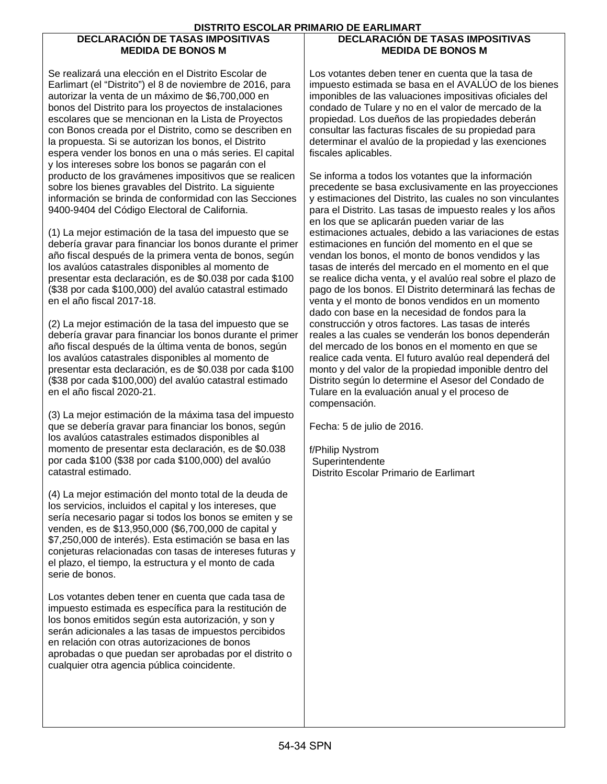## **DECLARACIÓN DE TASAS IMPOSITIVAS MEDIDA DE BONOS M**

## **DECLARACIÓN DE TASAS IMPOSITIVAS MEDIDA DE BONOS M**

Se realizará una elección en el Distrito Escolar de Earlimart (el "Distrito") el 8 de noviembre de 2016, para autorizar la venta de un máximo de \$6,700,000 en bonos del Distrito para los proyectos de instalaciones escolares que se mencionan en la Lista de Proyectos con Bonos creada por el Distrito, como se describen en la propuesta. Si se autorizan los bonos, el Distrito espera vender los bonos en una o más series. El capital y los intereses sobre los bonos se pagarán con el producto de los gravámenes impositivos que se realicen sobre los bienes gravables del Distrito. La siguiente información se brinda de conformidad con las Secciones 9400-9404 del Código Electoral de California.

(1) La mejor estimación de la tasa del impuesto que se debería gravar para financiar los bonos durante el primer año fiscal después de la primera venta de bonos, según los avalúos catastrales disponibles al momento de presentar esta declaración, es de \$0.038 por cada \$100 (\$38 por cada \$100,000) del avalúo catastral estimado en el año fiscal 2017-18.

(2) La mejor estimación de la tasa del impuesto que se debería gravar para financiar los bonos durante el primer año fiscal después de la última venta de bonos, según los avalúos catastrales disponibles al momento de presentar esta declaración, es de \$0.038 por cada \$100 (\$38 por cada \$100,000) del avalúo catastral estimado en el año fiscal 2020-21.

(3) La mejor estimación de la máxima tasa del impuesto que se debería gravar para financiar los bonos, según los avalúos catastrales estimados disponibles al momento de presentar esta declaración, es de \$0.038 por cada \$100 (\$38 por cada \$100,000) del avalúo catastral estimado.

(4) La mejor estimación del monto total de la deuda de los servicios, incluidos el capital y los intereses, que sería necesario pagar si todos los bonos se emiten y se venden, es de \$13,950,000 (\$6,700,000 de capital y \$7,250,000 de interés). Esta estimación se basa en las conjeturas relacionadas con tasas de intereses futuras y el plazo, el tiempo, la estructura y el monto de cada serie de bonos.

Los votantes deben tener en cuenta que cada tasa de impuesto estimada es específica para la restitución de los bonos emitidos según esta autorización, y son y serán adicionales a las tasas de impuestos percibidos en relación con otras autorizaciones de bonos aprobadas o que puedan ser aprobadas por el distrito o cualquier otra agencia pública coincidente.

Los votantes deben tener en cuenta que la tasa de impuesto estimada se basa en el AVALÚO de los bienes imponibles de las valuaciones impositivas oficiales del condado de Tulare y no en el valor de mercado de la propiedad. Los dueños de las propiedades deberán consultar las facturas fiscales de su propiedad para determinar el avalúo de la propiedad y las exenciones fiscales aplicables.

Se informa a todos los votantes que la información precedente se basa exclusivamente en las proyecciones y estimaciones del Distrito, las cuales no son vinculantes para el Distrito. Las tasas de impuesto reales y los años en los que se aplicarán pueden variar de las estimaciones actuales, debido a las variaciones de estas estimaciones en función del momento en el que se vendan los bonos, el monto de bonos vendidos y las tasas de interés del mercado en el momento en el que se realice dicha venta, y el avalúo real sobre el plazo de pago de los bonos. El Distrito determinará las fechas de venta y el monto de bonos vendidos en un momento dado con base en la necesidad de fondos para la construcción y otros factores. Las tasas de interés reales a las cuales se venderán los bonos dependerán del mercado de los bonos en el momento en que se realice cada venta. El futuro avalúo real dependerá del monto y del valor de la propiedad imponible dentro del Distrito según lo determine el Asesor del Condado de Tulare en la evaluación anual y el proceso de compensación.

Fecha: 5 de julio de 2016.

f/Philip Nystrom **Superintendente** Distrito Escolar Primario de Earlimart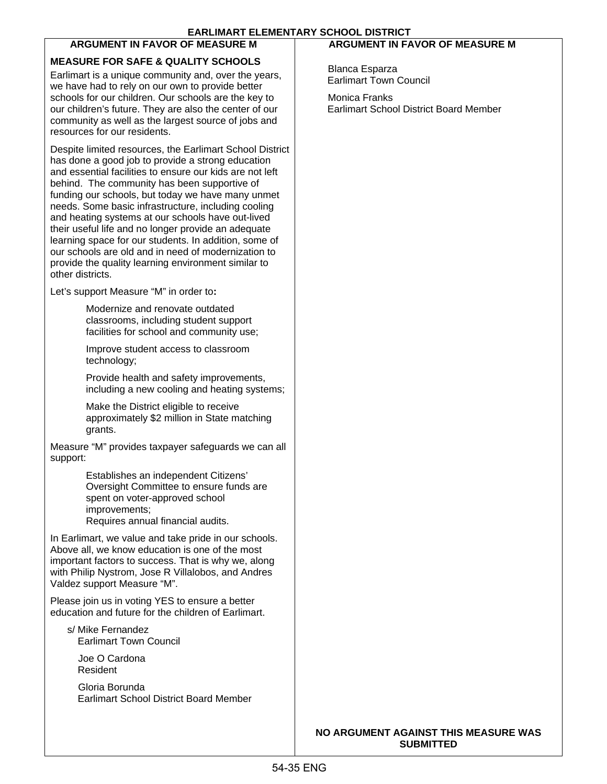# **ARGUMENT IN FAVOR OF MEASURE M MEASURE FOR SAFE & QUALITY SCHOOLS**

Earlimart is a unique community and, over the years, we have had to rely on our own to provide better schools for our children. Our schools are the key to our children's future. They are also the center of our community as well as the largest source of jobs and resources for our residents.

Despite limited resources, the Earlimart School District has done a good job to provide a strong education and essential facilities to ensure our kids are not left behind. The community has been supportive of funding our schools, but today we have many unmet needs. Some basic infrastructure, including cooling and heating systems at our schools have out-lived their useful life and no longer provide an adequate learning space for our students. In addition, some of our schools are old and in need of modernization to provide the quality learning environment similar to other districts.

Let's support Measure "M" in order to**:** 

Modernize and renovate outdated classrooms, including student support facilities for school and community use;

Improve student access to classroom technology;

Provide health and safety improvements, including a new cooling and heating systems;

Make the District eligible to receive approximately \$2 million in State matching grants.

Measure "M" provides taxpayer safeguards we can all support:

> Establishes an independent Citizens' Oversight Committee to ensure funds are spent on voter-approved school improvements; Requires annual financial audits.

In Earlimart, we value and take pride in our schools. Above all, we know education is one of the most important factors to success. That is why we, along with Philip Nystrom, Jose R Villalobos, and Andres Valdez support Measure "M".

Please join us in voting YES to ensure a better education and future for the children of Earlimart.

s/ Mike Fernandez Earlimart Town Council

 Joe O Cardona Resident

 Gloria Borunda Earlimart School District Board Member

## **ARGUMENT IN FAVOR OF MEASURE M**

 Blanca Esparza Earlimart Town Council

 Monica Franks Earlimart School District Board Member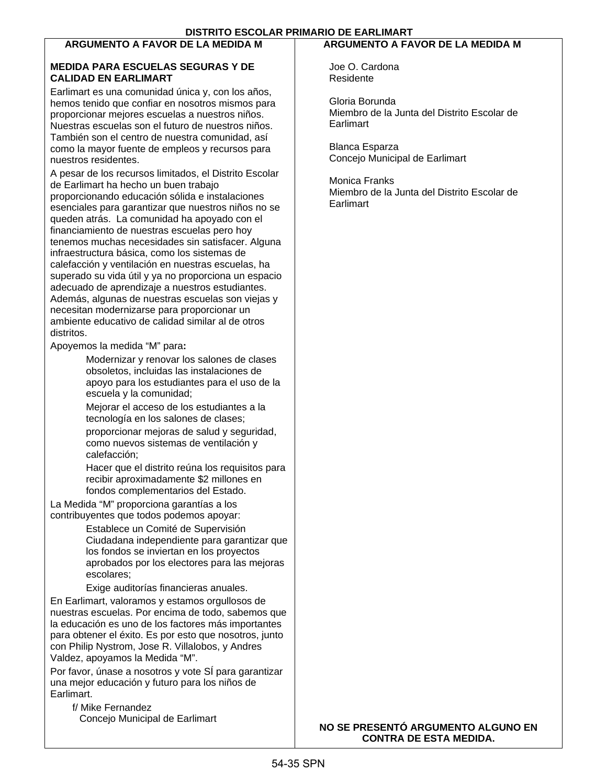# **ARGUMENTO A FAVOR DE LA MEDIDA M**

### **MEDIDA PARA ESCUELAS SEGURAS Y DE CALIDAD EN EARLIMART**

Earlimart es una comunidad única y, con los años, hemos tenido que confiar en nosotros mismos para proporcionar mejores escuelas a nuestros niños. Nuestras escuelas son el futuro de nuestros niños. También son el centro de nuestra comunidad, así como la mayor fuente de empleos y recursos para nuestros residentes.

A pesar de los recursos limitados, el Distrito Escolar de Earlimart ha hecho un buen trabajo proporcionando educación sólida e instalaciones esenciales para garantizar que nuestros niños no se queden atrás. La comunidad ha apoyado con el financiamiento de nuestras escuelas pero hoy tenemos muchas necesidades sin satisfacer. Alguna infraestructura básica, como los sistemas de calefacción y ventilación en nuestras escuelas, ha superado su vida útil y ya no proporciona un espacio adecuado de aprendizaje a nuestros estudiantes. Además, algunas de nuestras escuelas son viejas y necesitan modernizarse para proporcionar un ambiente educativo de calidad similar al de otros distritos.

Apoyemos la medida "M" para**:** 

Modernizar y renovar los salones de clases obsoletos, incluidas las instalaciones de apoyo para los estudiantes para el uso de la escuela y la comunidad;

Mejorar el acceso de los estudiantes a la tecnología en los salones de clases;

proporcionar mejoras de salud y seguridad, como nuevos sistemas de ventilación y calefacción;

Hacer que el distrito reúna los requisitos para recibir aproximadamente \$2 millones en fondos complementarios del Estado.

La Medida "M" proporciona garantías a los contribuyentes que todos podemos apoyar:

> Establece un Comité de Supervisión Ciudadana independiente para garantizar que los fondos se inviertan en los proyectos aprobados por los electores para las mejoras escolares;

Exige auditorías financieras anuales.

En Earlimart, valoramos y estamos orgullosos de nuestras escuelas. Por encima de todo, sabemos que la educación es uno de los factores más importantes para obtener el éxito. Es por esto que nosotros, junto con Philip Nystrom, Jose R. Villalobos, y Andres Valdez, apoyamos la Medida "M".

Por favor, únase a nosotros y vote SÍ para garantizar una mejor educación y futuro para los niños de Earlimart.

f/ Mike Fernandez Concejo Municipal de Earlimart

## **ARGUMENTO A FAVOR DE LA MEDIDA M**

Joe O. Cardona Residente

Gloria Borunda Miembro de la Junta del Distrito Escolar de Earlimart

Blanca Esparza Concejo Municipal de Earlimart

Monica Franks Miembro de la Junta del Distrito Escolar de **Earlimart** 

### **NO SE PRESENTÓ ARGUMENTO ALGUNO EN CONTRA DE ESTA MEDIDA.**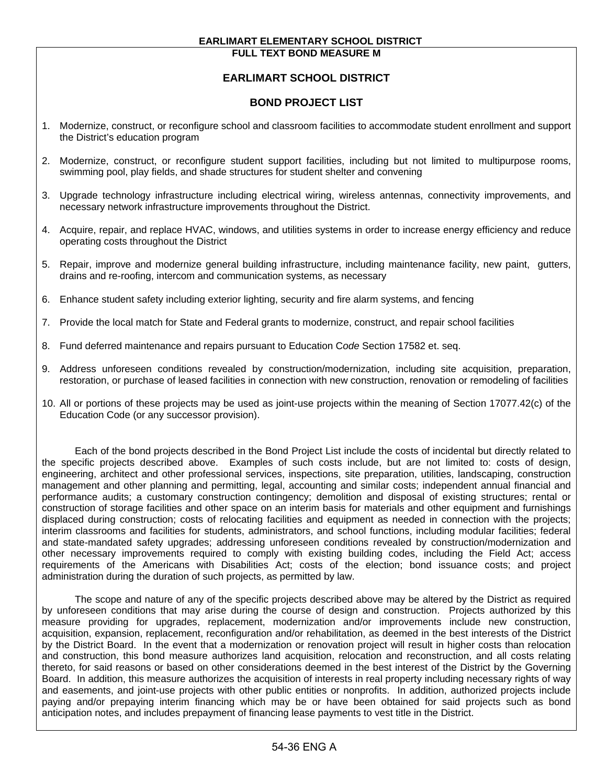#### **EARLIMART ELEMENTARY SCHOOL DISTRICT FULL TEXT BOND MEASURE M**

# **EARLIMART SCHOOL DISTRICT**

## **BOND PROJECT LIST**

- 1. Modernize, construct, or reconfigure school and classroom facilities to accommodate student enrollment and support the District's education program
- 2. Modernize, construct, or reconfigure student support facilities, including but not limited to multipurpose rooms, swimming pool, play fields, and shade structures for student shelter and convening
- 3. Upgrade technology infrastructure including electrical wiring, wireless antennas, connectivity improvements, and necessary network infrastructure improvements throughout the District.
- 4. Acquire, repair, and replace HVAC, windows, and utilities systems in order to increase energy efficiency and reduce operating costs throughout the District
- 5. Repair, improve and modernize general building infrastructure, including maintenance facility, new paint, gutters, drains and re-roofing, intercom and communication systems, as necessary
- 6. Enhance student safety including exterior lighting, security and fire alarm systems, and fencing
- 7. Provide the local match for State and Federal grants to modernize, construct, and repair school facilities
- 8. Fund deferred maintenance and repairs pursuant to Education C*ode* Section 17582 et. seq.
- 9. Address unforeseen conditions revealed by construction/modernization, including site acquisition, preparation, restoration, or purchase of leased facilities in connection with new construction, renovation or remodeling of facilities
- 10. All or portions of these projects may be used as joint-use projects within the meaning of Section 17077.42(c) of the Education Code (or any successor provision).

 Each of the bond projects described in the Bond Project List include the costs of incidental but directly related to the specific projects described above. Examples of such costs include, but are not limited to: costs of design, engineering, architect and other professional services, inspections, site preparation, utilities, landscaping, construction management and other planning and permitting, legal, accounting and similar costs; independent annual financial and performance audits; a customary construction contingency; demolition and disposal of existing structures; rental or construction of storage facilities and other space on an interim basis for materials and other equipment and furnishings displaced during construction; costs of relocating facilities and equipment as needed in connection with the projects; interim classrooms and facilities for students, administrators, and school functions, including modular facilities; federal and state-mandated safety upgrades; addressing unforeseen conditions revealed by construction/modernization and other necessary improvements required to comply with existing building codes, including the Field Act; access requirements of the Americans with Disabilities Act; costs of the election; bond issuance costs; and project administration during the duration of such projects, as permitted by law.

 The scope and nature of any of the specific projects described above may be altered by the District as required by unforeseen conditions that may arise during the course of design and construction. Projects authorized by this measure providing for upgrades, replacement, modernization and/or improvements include new construction, acquisition, expansion, replacement, reconfiguration and/or rehabilitation, as deemed in the best interests of the District by the District Board. In the event that a modernization or renovation project will result in higher costs than relocation and construction, this bond measure authorizes land acquisition, relocation and reconstruction, and all costs relating thereto, for said reasons or based on other considerations deemed in the best interest of the District by the Governing Board. In addition, this measure authorizes the acquisition of interests in real property including necessary rights of way and easements, and joint-use projects with other public entities or nonprofits. In addition, authorized projects include paying and/or prepaying interim financing which may be or have been obtained for said projects such as bond anticipation notes, and includes prepayment of financing lease payments to vest title in the District.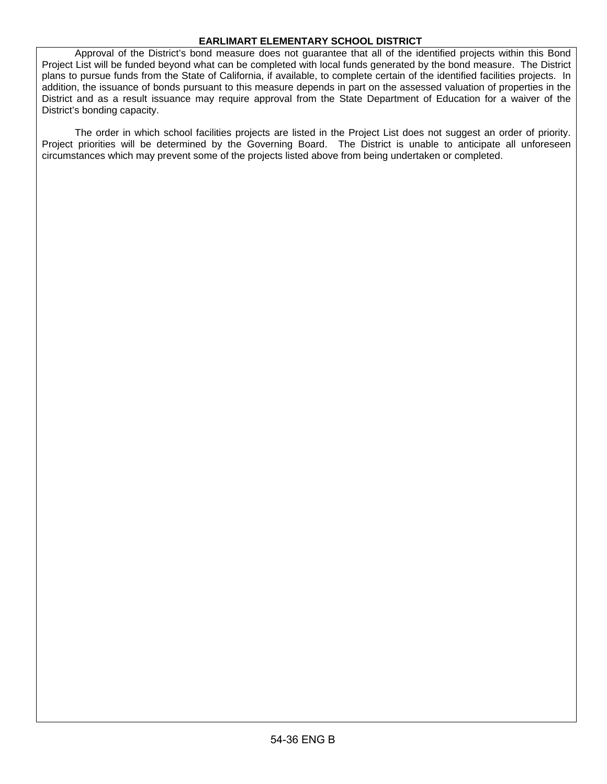### **EARLIMART ELEMENTARY SCHOOL DISTRICT**

 Approval of the District's bond measure does not guarantee that all of the identified projects within this Bond Project List will be funded beyond what can be completed with local funds generated by the bond measure. The District plans to pursue funds from the State of California, if available, to complete certain of the identified facilities projects. In addition, the issuance of bonds pursuant to this measure depends in part on the assessed valuation of properties in the District and as a result issuance may require approval from the State Department of Education for a waiver of the District's bonding capacity.

 The order in which school facilities projects are listed in the Project List does not suggest an order of priority. Project priorities will be determined by the Governing Board. The District is unable to anticipate all unforeseen circumstances which may prevent some of the projects listed above from being undertaken or completed.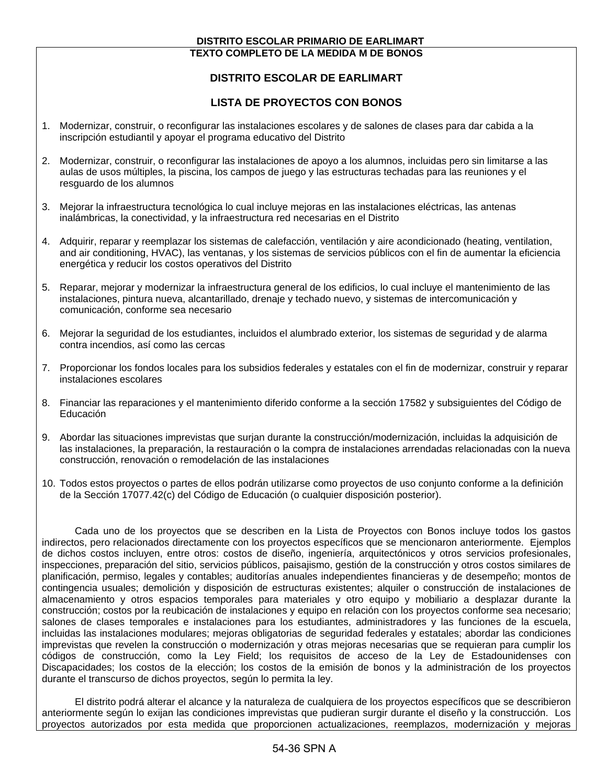#### **DISTRITO ESCOLAR PRIMARIO DE EARLIMART TEXTO COMPLETO DE LA MEDIDA M DE BONOS**

# **DISTRITO ESCOLAR DE EARLIMART**

## **LISTA DE PROYECTOS CON BONOS**

- 1. Modernizar, construir, o reconfigurar las instalaciones escolares y de salones de clases para dar cabida a la inscripción estudiantil y apoyar el programa educativo del Distrito
- 2. Modernizar, construir, o reconfigurar las instalaciones de apoyo a los alumnos, incluidas pero sin limitarse a las aulas de usos múltiples, la piscina, los campos de juego y las estructuras techadas para las reuniones y el resguardo de los alumnos
- 3. Mejorar la infraestructura tecnológica lo cual incluye mejoras en las instalaciones eléctricas, las antenas inalámbricas, la conectividad, y la infraestructura red necesarias en el Distrito
- 4. Adquirir, reparar y reemplazar los sistemas de calefacción, ventilación y aire acondicionado (heating, ventilation, and air conditioning, HVAC), las ventanas, y los sistemas de servicios públicos con el fin de aumentar la eficiencia energética y reducir los costos operativos del Distrito
- 5. Reparar, mejorar y modernizar la infraestructura general de los edificios, lo cual incluye el mantenimiento de las instalaciones, pintura nueva, alcantarillado, drenaje y techado nuevo, y sistemas de intercomunicación y comunicación, conforme sea necesario
- 6. Mejorar la seguridad de los estudiantes, incluidos el alumbrado exterior, los sistemas de seguridad y de alarma contra incendios, así como las cercas
- 7. Proporcionar los fondos locales para los subsidios federales y estatales con el fin de modernizar, construir y reparar instalaciones escolares
- 8. Financiar las reparaciones y el mantenimiento diferido conforme a la sección 17582 y subsiguientes del Código de Educación
- 9. Abordar las situaciones imprevistas que surjan durante la construcción/modernización, incluidas la adquisición de las instalaciones, la preparación, la restauración o la compra de instalaciones arrendadas relacionadas con la nueva construcción, renovación o remodelación de las instalaciones
- 10. Todos estos proyectos o partes de ellos podrán utilizarse como proyectos de uso conjunto conforme a la definición de la Sección 17077.42(c) del Código de Educación (o cualquier disposición posterior).

 Cada uno de los proyectos que se describen en la Lista de Proyectos con Bonos incluye todos los gastos indirectos, pero relacionados directamente con los proyectos específicos que se mencionaron anteriormente. Ejemplos de dichos costos incluyen, entre otros: costos de diseño, ingeniería, arquitectónicos y otros servicios profesionales, inspecciones, preparación del sitio, servicios públicos, paisajismo, gestión de la construcción y otros costos similares de planificación, permiso, legales y contables; auditorías anuales independientes financieras y de desempeño; montos de contingencia usuales; demolición y disposición de estructuras existentes; alquiler o construcción de instalaciones de almacenamiento y otros espacios temporales para materiales y otro equipo y mobiliario a desplazar durante la construcción; costos por la reubicación de instalaciones y equipo en relación con los proyectos conforme sea necesario; salones de clases temporales e instalaciones para los estudiantes, administradores y las funciones de la escuela, incluidas las instalaciones modulares; mejoras obligatorias de seguridad federales y estatales; abordar las condiciones imprevistas que revelen la construcción o modernización y otras mejoras necesarias que se requieran para cumplir los códigos de construcción, como la Ley Field; los requisitos de acceso de la Ley de Estadounidenses con Discapacidades; los costos de la elección; los costos de la emisión de bonos y la administración de los proyectos durante el transcurso de dichos proyectos, según lo permita la ley.

 El distrito podrá alterar el alcance y la naturaleza de cualquiera de los proyectos específicos que se describieron anteriormente según lo exijan las condiciones imprevistas que pudieran surgir durante el diseño y la construcción. Los proyectos autorizados por esta medida que proporcionen actualizaciones, reemplazos, modernización y mejoras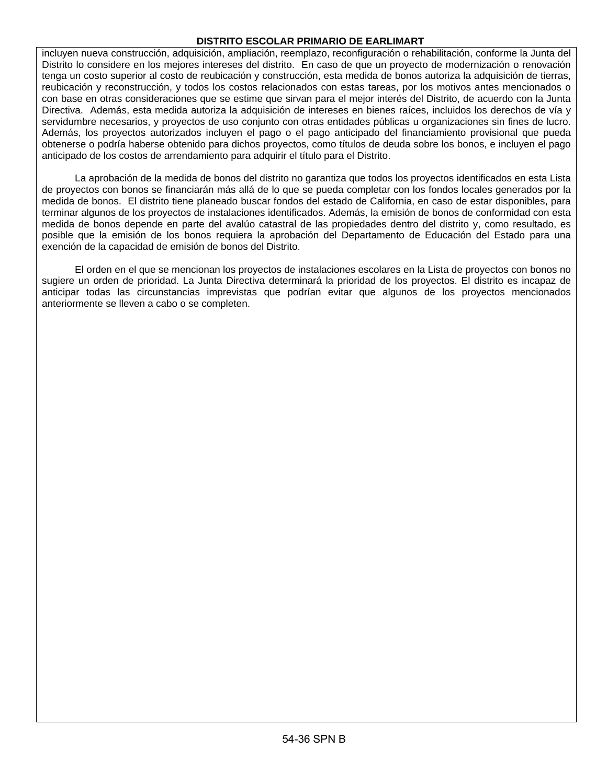### **DISTRITO ESCOLAR PRIMARIO DE EARLIMART**

incluyen nueva construcción, adquisición, ampliación, reemplazo, reconfiguración o rehabilitación, conforme la Junta del Distrito lo considere en los mejores intereses del distrito. En caso de que un proyecto de modernización o renovación tenga un costo superior al costo de reubicación y construcción, esta medida de bonos autoriza la adquisición de tierras, reubicación y reconstrucción, y todos los costos relacionados con estas tareas, por los motivos antes mencionados o con base en otras consideraciones que se estime que sirvan para el mejor interés del Distrito, de acuerdo con la Junta Directiva. Además, esta medida autoriza la adquisición de intereses en bienes raíces, incluidos los derechos de vía y servidumbre necesarios, y proyectos de uso conjunto con otras entidades públicas u organizaciones sin fines de lucro. Además, los proyectos autorizados incluyen el pago o el pago anticipado del financiamiento provisional que pueda obtenerse o podría haberse obtenido para dichos proyectos, como títulos de deuda sobre los bonos, e incluyen el pago anticipado de los costos de arrendamiento para adquirir el título para el Distrito.

 La aprobación de la medida de bonos del distrito no garantiza que todos los proyectos identificados en esta Lista de proyectos con bonos se financiarán más allá de lo que se pueda completar con los fondos locales generados por la medida de bonos. El distrito tiene planeado buscar fondos del estado de California, en caso de estar disponibles, para terminar algunos de los proyectos de instalaciones identificados. Además, la emisión de bonos de conformidad con esta medida de bonos depende en parte del avalúo catastral de las propiedades dentro del distrito y, como resultado, es posible que la emisión de los bonos requiera la aprobación del Departamento de Educación del Estado para una exención de la capacidad de emisión de bonos del Distrito.

 El orden en el que se mencionan los proyectos de instalaciones escolares en la Lista de proyectos con bonos no sugiere un orden de prioridad. La Junta Directiva determinará la prioridad de los proyectos. El distrito es incapaz de anticipar todas las circunstancias imprevistas que podrían evitar que algunos de los proyectos mencionados anteriormente se lleven a cabo o se completen.